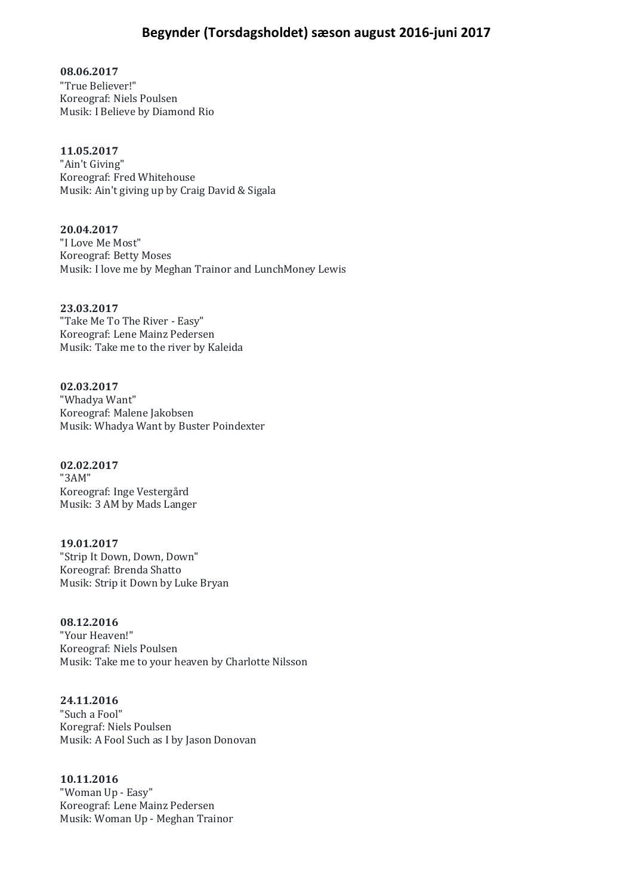## **Begynder (Torsdagsholdet) sæson august 2016-juni 2017**

**08.06.2017** "True Believer!" Koreograf: Niels Poulsen Musik: I Believe by Diamond Rio

## **11.05.2017**

"Ain't Giving" Koreograf: Fred Whitehouse Musik: Ain't giving up by Craig David & Sigala

**20.04.2017** "I Love Me Most" Koreograf: Betty Moses Musik: I love me by Meghan Trainor and LunchMoney Lewis

**23.03.2017** "Take Me To The River - Easy" Koreograf: Lene Mainz Pedersen Musik: Take me to the river by Kaleida

**02.03.2017** "Whadya Want" Koreograf: Malene Jakobsen Musik: Whadya Want by Buster Poindexter

**02.02.2017** "3AM" Koreograf: Inge Vestergård Musik: 3 AM by Mads Langer

**19.01.2017** "Strip It Down, Down, Down" Koreograf: Brenda Shatto Musik: Strip it Down by Luke Bryan

**08.12.2016** "Your Heaven!" Koreograf: Niels Poulsen Musik: Take me to your heaven by Charlotte Nilsson

**24.11.2016** "Such a Fool" Koregraf: Niels Poulsen Musik: A Fool Such as I by Jason Donovan

**10.11.2016** "Woman Up - Easy" Koreograf: Lene Mainz Pedersen Musik: Woman Up - Meghan Trainor